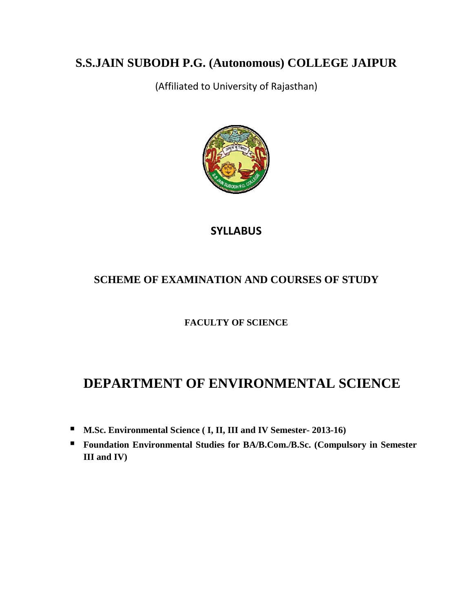# **S.S.JAIN SUBODH P.G. (Autonomous) COLLEGE JAIPUR**

(Affiliated to University of Rajasthan)



## **SYLLABUS**

## **SCHEME OF EXAMINATION AND COURSES OF STUDY**

## **FACULTY OF SCIENCE**

# **DEPARTMENT OF ENVIRONMENTAL SCIENCE**

- **M.Sc. Environmental Science ( I, II, III and IV Semester- 2013-16)**
- **Foundation Environmental Studies for BA/B.Com./B.Sc. (Compulsory in Semester III and IV)**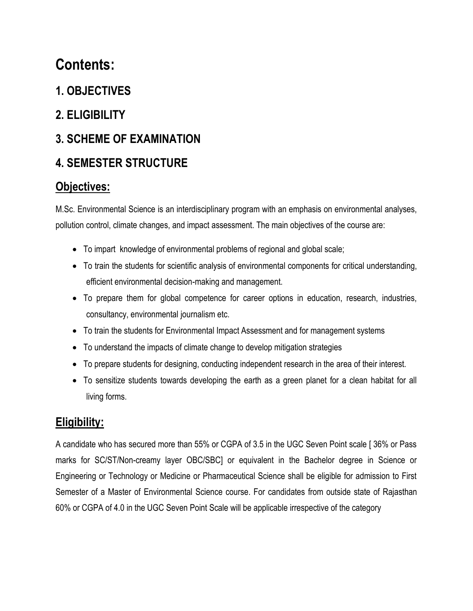# **Contents:**

- **1. OBJECTIVES**
- **2. ELIGIBILITY**

# **3. SCHEME OF EXAMINATION**

# **4. SEMESTER STRUCTURE**

# **Objectives:**

M.Sc. Environmental Science is an interdisciplinary program with an emphasis on environmental analyses, pollution control, climate changes, and impact assessment. The main objectives of the course are:

- To impart knowledge of environmental problems of regional and global scale;
- To train the students for scientific analysis of environmental components for critical understanding, efficient environmental decision-making and management.
- To prepare them for global competence for career options in education, research, industries, consultancy, environmental journalism etc.
- To train the students for Environmental Impact Assessment and for management systems
- To understand the impacts of climate change to develop mitigation strategies
- To prepare students for designing, conducting independent research in the area of their interest.
- To sensitize students towards developing the earth as a green planet for a clean habitat for all living forms.

# **Eligibility:**

A candidate who has secured more than 55% or CGPA of 3.5 in the UGC Seven Point scale [ 36% or Pass marks for SC/ST/Non-creamy layer OBC/SBC] or equivalent in the Bachelor degree in Science or Engineering or Technology or Medicine or Pharmaceutical Science shall be eligible for admission to First Semester of a Master of Environmental Science course. For candidates from outside state of Rajasthan 60% or CGPA of 4.0 in the UGC Seven Point Scale will be applicable irrespective of the category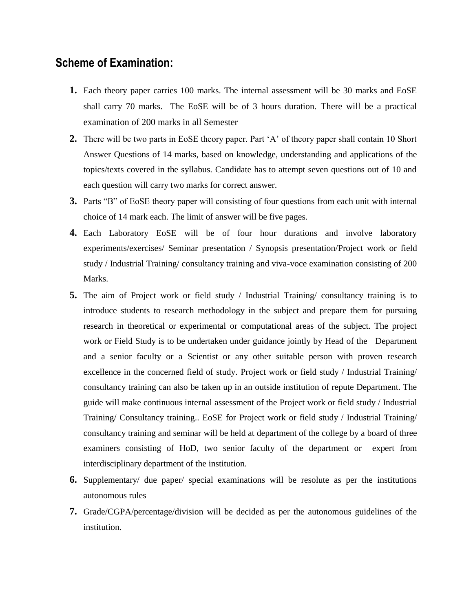## **Scheme of Examination:**

- **1.** Each theory paper carries 100 marks. The internal assessment will be 30 marks and EoSE shall carry 70 marks. The EoSE will be of 3 hours duration. There will be a practical examination of 200 marks in all Semester
- **2.** There will be two parts in EoSE theory paper. Part 'A' of theory paper shall contain 10 Short Answer Questions of 14 marks, based on knowledge, understanding and applications of the topics/texts covered in the syllabus. Candidate has to attempt seven questions out of 10 and each question will carry two marks for correct answer.
- **3.** Parts "B" of EoSE theory paper will consisting of four questions from each unit with internal choice of 14 mark each. The limit of answer will be five pages.
- **4.** Each Laboratory EoSE will be of four hour durations and involve laboratory experiments/exercises/ Seminar presentation / Synopsis presentation/Project work or field study / Industrial Training/ consultancy training and viva-voce examination consisting of 200 Marks.
- **5.** The aim of Project work or field study / Industrial Training/ consultancy training is to introduce students to research methodology in the subject and prepare them for pursuing research in theoretical or experimental or computational areas of the subject. The project work or Field Study is to be undertaken under guidance jointly by Head of the Department and a senior faculty or a Scientist or any other suitable person with proven research excellence in the concerned field of study. Project work or field study / Industrial Training/ consultancy training can also be taken up in an outside institution of repute Department. The guide will make continuous internal assessment of the Project work or field study / Industrial Training/ Consultancy training.. EoSE for Project work or field study / Industrial Training/ consultancy training and seminar will be held at department of the college by a board of three examiners consisting of HoD, two senior faculty of the department or expert from interdisciplinary department of the institution.
- **6.** Supplementary/ due paper/ special examinations will be resolute as per the institutions autonomous rules
- **7.** Grade/CGPA/percentage/division will be decided as per the autonomous guidelines of the institution.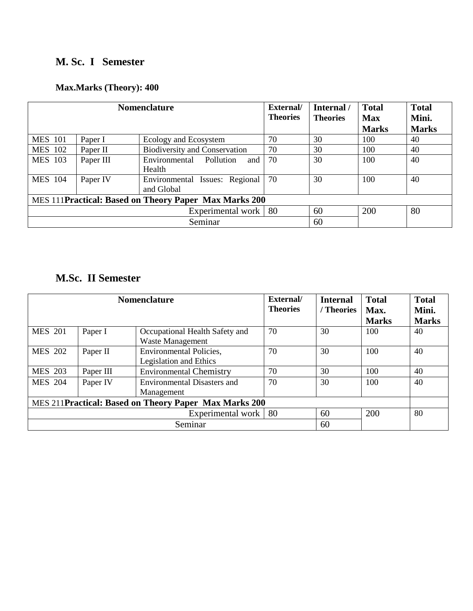## **M. Sc. I Semester**

## **Max.Marks (Theory): 400**

| <b>Nomenclature</b> |                                                       |                                              | External/<br><b>Theories</b> | Internal /<br><b>Theories</b> | <b>Total</b><br><b>Max</b><br><b>Marks</b> | <b>Total</b><br>Mini.<br><b>Marks</b> |  |  |
|---------------------|-------------------------------------------------------|----------------------------------------------|------------------------------|-------------------------------|--------------------------------------------|---------------------------------------|--|--|
| <b>MES 101</b>      | Paper I                                               | Ecology and Ecosystem                        | 70                           | 30                            | 100                                        | 40                                    |  |  |
| <b>MES</b> 102      | Paper II                                              | <b>Biodiversity and Conservation</b>         | 70                           | 30                            | 100                                        | 40                                    |  |  |
| <b>MES</b> 103      | Paper III                                             | Environmental<br>Pollution<br>and<br>Health  | 70                           | 30                            | 100                                        | 40                                    |  |  |
| <b>MES</b> 104      | Paper IV                                              | Environmental Issues: Regional<br>and Global | 70                           | 30                            | 100                                        | 40                                    |  |  |
|                     | MES 111Practical: Based on Theory Paper Max Marks 200 |                                              |                              |                               |                                            |                                       |  |  |
|                     | Experimental work   80                                |                                              |                              | 60                            | 200                                        | 80                                    |  |  |
| Seminar             |                                                       |                                              |                              | 60                            |                                            |                                       |  |  |

## **M.Sc. II Semester**

| <b>Nomenclature</b>                                    |           |                                    | External/       | <b>Internal</b> | <b>Total</b> | <b>Total</b> |
|--------------------------------------------------------|-----------|------------------------------------|-----------------|-----------------|--------------|--------------|
|                                                        |           |                                    | <b>Theories</b> | / Theories      | Max.         | Mini.        |
|                                                        |           |                                    |                 |                 | <b>Marks</b> | <b>Marks</b> |
| <b>MES 201</b>                                         | Paper I   | Occupational Health Safety and     | 70              | 30              | 100          | 40           |
|                                                        |           | <b>Waste Management</b>            |                 |                 |              |              |
| <b>MES 202</b>                                         | Paper II  | <b>Environmental Policies,</b>     | 70              | 30              | 100          | 40           |
|                                                        |           | Legislation and Ethics             |                 |                 |              |              |
| <b>MES 203</b>                                         | Paper III | <b>Environmental Chemistry</b>     | 70              | 30              | 100          | 40           |
| <b>MES 204</b>                                         | Paper IV  | <b>Environmental Disasters and</b> | 70              | 30              | 100          | 40           |
|                                                        |           | Management                         |                 |                 |              |              |
| MES 211 Practical: Based on Theory Paper Max Marks 200 |           |                                    |                 |                 |              |              |
|                                                        |           | Experimental work                  | -80             | 60              | 200          | 80           |
|                                                        |           | Seminar                            |                 | 60              |              |              |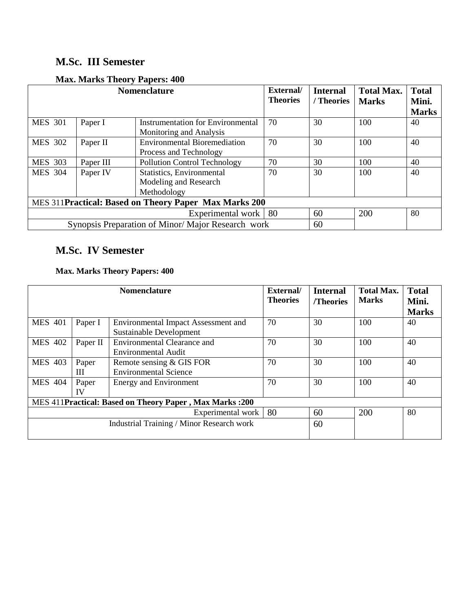## **M.Sc. III Semester**

| <b>Nomenclature</b>                                   |                                                   |                                     | External/<br><b>Theories</b> | <b>Internal</b><br>/ Theories | <b>Total Max.</b><br><b>Marks</b> | <b>Total</b><br>Mini. |  |
|-------------------------------------------------------|---------------------------------------------------|-------------------------------------|------------------------------|-------------------------------|-----------------------------------|-----------------------|--|
|                                                       |                                                   |                                     |                              |                               |                                   | <b>Marks</b>          |  |
| <b>MES 301</b>                                        | Paper I                                           | Instrumentation for Environmental   | 70                           | 30                            | 100                               | 40                    |  |
|                                                       |                                                   | Monitoring and Analysis             |                              |                               |                                   |                       |  |
| <b>MES 302</b>                                        | Paper II                                          | <b>Environmental Bioremediation</b> | 70                           | 30                            | 100                               | 40                    |  |
|                                                       |                                                   | Process and Technology              |                              |                               |                                   |                       |  |
| <b>MES 303</b>                                        | Paper III                                         | <b>Pollution Control Technology</b> | 70                           | 30                            | 100                               | 40                    |  |
| <b>MES 304</b>                                        | Paper IV                                          | Statistics, Environmental           | 70                           | 30                            | 100                               | 40                    |  |
|                                                       |                                                   | Modeling and Research               |                              |                               |                                   |                       |  |
|                                                       |                                                   | Methodology                         |                              |                               |                                   |                       |  |
| MES 311Practical: Based on Theory Paper Max Marks 200 |                                                   |                                     |                              |                               |                                   |                       |  |
|                                                       | Experimental work                                 |                                     |                              | 60                            | 200                               | 80                    |  |
|                                                       | Synopsis Preparation of Minor/Major Research work |                                     | 60                           |                               |                                   |                       |  |

## **Max. Marks Theory Papers: 400**

## **M.Sc. IV Semester**

## **Max. Marks Theory Papers: 400**

| <b>Nomenclature</b> |                                                         |                                            | External/<br><b>Theories</b> | <b>Internal</b><br>/Theories | <b>Total Max.</b><br><b>Marks</b> | <b>Total</b><br>Mini. |  |  |  |
|---------------------|---------------------------------------------------------|--------------------------------------------|------------------------------|------------------------------|-----------------------------------|-----------------------|--|--|--|
|                     |                                                         |                                            |                              |                              |                                   | <b>Marks</b>          |  |  |  |
| <b>MES 401</b>      | Paper I                                                 | <b>Environmental Impact Assessment and</b> | 70                           | 30                           | 100                               | 40                    |  |  |  |
|                     |                                                         | Sustainable Development                    |                              |                              |                                   |                       |  |  |  |
| <b>MES 402</b>      | Paper II                                                | <b>Environmental Clearance and</b>         | 70                           | 30                           | 100                               | 40                    |  |  |  |
|                     |                                                         | Environmental Audit                        |                              |                              |                                   |                       |  |  |  |
| <b>MES 403</b>      | Paper                                                   | Remote sensing & GIS FOR                   | 70                           | 30                           | 100                               | 40                    |  |  |  |
|                     | Ш                                                       | <b>Environmental Science</b>               |                              |                              |                                   |                       |  |  |  |
| <b>MES 404</b>      | Paper                                                   | <b>Energy and Environment</b>              | 70                           | 30                           | 100                               | 40                    |  |  |  |
|                     | IV                                                      |                                            |                              |                              |                                   |                       |  |  |  |
|                     | MES 411Practical: Based on Theory Paper, Max Marks: 200 |                                            |                              |                              |                                   |                       |  |  |  |
|                     |                                                         | Experimental work                          | 80                           | 60                           | 200                               | 80                    |  |  |  |
|                     |                                                         | Industrial Training / Minor Research work  |                              | 60                           |                                   |                       |  |  |  |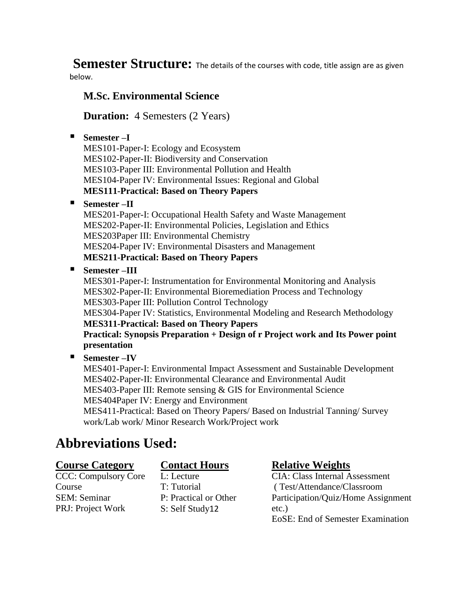**Semester Structure:** The details of the courses with code, title assign are as given below.

## **M.Sc. Environmental Science**

**Duration:** 4 Semesters (2 Years)

## **Semester –I**

MES101-Paper-I: Ecology and Ecosystem MES102-Paper-II: Biodiversity and Conservation MES103-Paper III: Environmental Pollution and Health MES104-Paper IV: Environmental Issues: Regional and Global **MES111-Practical: Based on Theory Papers**

## **Semester –II**

MES201-Paper-I: Occupational Health Safety and Waste Management MES202-Paper-II: Environmental Policies, Legislation and Ethics MES203Paper III: Environmental Chemistry MES204-Paper IV: Environmental Disasters and Management **MES211-Practical: Based on Theory Papers**

## **Semester –III**

MES301-Paper-I: Instrumentation for Environmental Monitoring and Analysis MES302-Paper-II: Environmental Bioremediation Process and Technology MES303-Paper III: Pollution Control Technology MES304-Paper IV: Statistics, Environmental Modeling and Research Methodology **MES311-Practical: Based on Theory Papers Practical: Synopsis Preparation + Design of r Project work and Its Power point presentation** 

## **Semester –IV**

MES401-Paper-I: Environmental Impact Assessment and Sustainable Development MES402-Paper-II: Environmental Clearance and Environmental Audit MES403-Paper III: Remote sensing & GIS for Environmental Science MES404Paper IV: Energy and Environment MES411-Practical: Based on Theory Papers/ Based on Industrial Tanning/ Survey work/Lab work/ Minor Research Work/Project work

# **Abbreviations Used:**

## **Course Category**

CCC: Compulsory Core Course SEM: Seminar PRJ: Project Work

## **Contact Hours**

L: Lecture T: Tutorial P: Practical or Other S: Self Study12

## **Relative Weights**

CIA: Class Internal Assessment ( Test/Attendance/Classroom Participation/Quiz/Home Assignment etc.) EoSE: End of Semester Examination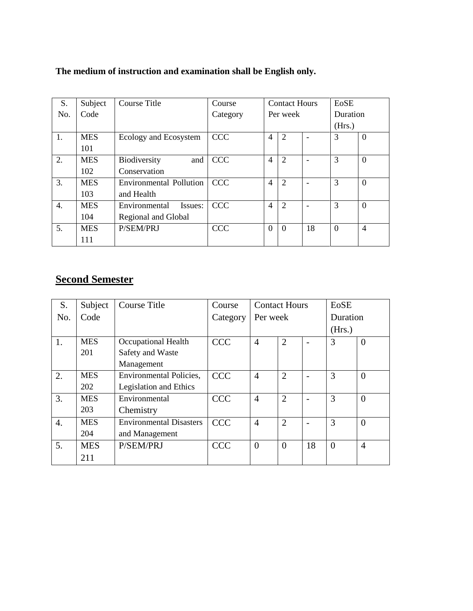| S.  | Subject    | Course Title                   | Course     | <b>Contact Hours</b> |                |    | EoSE            |                |
|-----|------------|--------------------------------|------------|----------------------|----------------|----|-----------------|----------------|
| No. | Code       |                                | Category   | Per week             |                |    | <b>Duration</b> |                |
|     |            |                                |            |                      |                |    | (Hrs.)          |                |
| 1.  | <b>MES</b> | Ecology and Ecosystem          | <b>CCC</b> | $\overline{4}$       | $\overline{2}$ |    | 3               | $\theta$       |
|     | 101        |                                |            |                      |                |    |                 |                |
| 2.  | <b>MES</b> | Biodiversity<br>and            | <b>CCC</b> | $\overline{4}$       | $\overline{2}$ |    | 3               | $\Omega$       |
|     | 102        | Conservation                   |            |                      |                |    |                 |                |
| 3.  | <b>MES</b> | <b>Environmental Pollution</b> | <b>CCC</b> | $\overline{4}$       | 2              |    | 3               | $\Omega$       |
|     | 103        | and Health                     |            |                      |                |    |                 |                |
| 4.  | <b>MES</b> | Environmental<br>Issues:       | <b>CCC</b> | 4                    | $\overline{2}$ |    | 3               | $\Omega$       |
|     | 104        | Regional and Global            |            |                      |                |    |                 |                |
| 5.  | <b>MES</b> | <b>P/SEM/PRJ</b>               | <b>CCC</b> | $\Omega$             | $\Omega$       | 18 | $\Omega$        | $\overline{4}$ |
|     | 111        |                                |            |                      |                |    |                 |                |

## **The medium of instruction and examination shall be English only.**

# **Second Semester**

| S.               | Subject    | <b>Course Title</b>            | Course     | <b>Contact Hours</b> |                |    | EoSE           |                |  |
|------------------|------------|--------------------------------|------------|----------------------|----------------|----|----------------|----------------|--|
| No.              | Code       |                                | Category   |                      | Per week       |    |                | Duration       |  |
|                  |            |                                |            |                      |                |    | (Hrs.)         |                |  |
| 1.               | <b>MES</b> | Occupational Health            | <b>CCC</b> | $\overline{4}$       | $\overline{2}$ |    | 3              | $\Omega$       |  |
|                  | 201        | Safety and Waste               |            |                      |                |    |                |                |  |
|                  |            | Management                     |            |                      |                |    |                |                |  |
| 2.               | <b>MES</b> | <b>Environmental Policies,</b> | <b>CCC</b> | $\overline{4}$       | $\overline{2}$ |    | 3              | $\Omega$       |  |
|                  | 202        | <b>Legislation and Ethics</b>  |            |                      |                |    |                |                |  |
| 3.               | <b>MES</b> | Environmental                  | <b>CCC</b> | 4                    | $\overline{2}$ |    | 3              | $\Omega$       |  |
|                  | 203        | Chemistry                      |            |                      |                |    |                |                |  |
| $\overline{4}$ . | <b>MES</b> | <b>Environmental Disasters</b> | <b>CCC</b> | $\overline{4}$       | $\overline{2}$ |    | 3              | $\theta$       |  |
|                  | 204        | and Management                 |            |                      |                |    |                |                |  |
| 5.               | <b>MES</b> | P/SEM/PRJ                      | <b>CCC</b> | $\overline{0}$       | $\theta$       | 18 | $\overline{0}$ | $\overline{4}$ |  |
|                  | 211        |                                |            |                      |                |    |                |                |  |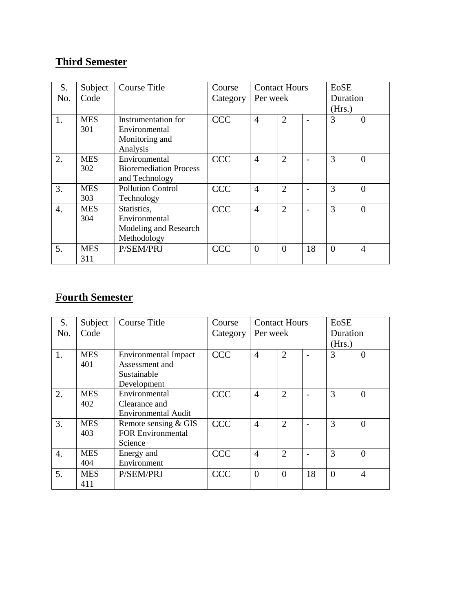# **Third Semester**

| S.               | Subject    | <b>Course Title</b>           | Course     | <b>Contact Hours</b> |                |    | EoSE           |                |
|------------------|------------|-------------------------------|------------|----------------------|----------------|----|----------------|----------------|
| No.              | Code       |                               | Category   | Per week             |                |    | Duration       |                |
|                  |            |                               |            |                      |                |    | (Hrs.)         |                |
| 1.               | <b>MES</b> | Instrumentation for           | <b>CCC</b> | $\overline{4}$       | $\overline{2}$ |    | 3              | $\Omega$       |
|                  | 301        | Environmental                 |            |                      |                |    |                |                |
|                  |            | Monitoring and                |            |                      |                |    |                |                |
|                  |            | Analysis                      |            |                      |                |    |                |                |
| 2.               | <b>MES</b> | Environmental                 | <b>CCC</b> | $\overline{4}$       | $\overline{2}$ |    | 3              | $\Omega$       |
|                  | 302        | <b>Bioremediation Process</b> |            |                      |                |    |                |                |
|                  |            | and Technology                |            |                      |                |    |                |                |
| 3.               | <b>MES</b> | <b>Pollution Control</b>      | <b>CCC</b> | $\overline{4}$       | $\overline{2}$ |    | 3              | $\Omega$       |
|                  | 303        | Technology                    |            |                      |                |    |                |                |
| $\overline{4}$ . | <b>MES</b> | Statistics,                   | <b>CCC</b> | $\overline{4}$       | $\overline{2}$ |    | 3              | $\Omega$       |
|                  | 304        | Environmental                 |            |                      |                |    |                |                |
|                  |            | Modeling and Research         |            |                      |                |    |                |                |
|                  |            | Methodology                   |            |                      |                |    |                |                |
| 5.               | <b>MES</b> | P/SEM/PRJ                     | <b>CCC</b> | $\theta$             | $\theta$       | 18 | $\overline{0}$ | $\overline{4}$ |
|                  | 311        |                               |            |                      |                |    |                |                |

## **Fourth Semester**

| S.  | Subject    | Course Title                | Course     | <b>Contact Hours</b> |                | EoSE |          |                |
|-----|------------|-----------------------------|------------|----------------------|----------------|------|----------|----------------|
| No. | Code       |                             | Category   |                      | Per week       |      | Duration |                |
|     |            |                             |            |                      |                |      | (Hrs.)   |                |
| 1.  | <b>MES</b> | <b>Environmental Impact</b> | <b>CCC</b> | 4                    | $\overline{2}$ |      | 3        | $\Omega$       |
|     | 401        | Assessment and              |            |                      |                |      |          |                |
|     |            | Sustainable                 |            |                      |                |      |          |                |
|     |            | Development                 |            |                      |                |      |          |                |
| 2.  | <b>MES</b> | Environmental               | <b>CCC</b> | $\overline{4}$       | $\overline{2}$ |      | 3        | $\Omega$       |
|     | 402        | Clearance and               |            |                      |                |      |          |                |
|     |            | <b>Environmental Audit</b>  |            |                      |                |      |          |                |
| 3.  | <b>MES</b> | Remote sensing & GIS        | <b>CCC</b> | $\overline{4}$       | $\overline{2}$ |      | 3        | $\Omega$       |
|     | 403        | <b>FOR Environmental</b>    |            |                      |                |      |          |                |
|     |            | Science                     |            |                      |                |      |          |                |
| 4.  | <b>MES</b> | Energy and                  | <b>CCC</b> | $\overline{4}$       | $\overline{2}$ |      | 3        | $\theta$       |
|     | 404        | Environment                 |            |                      |                |      |          |                |
| 5.  | <b>MES</b> | P/SEM/PRJ                   | <b>CCC</b> | $\theta$             | $\Omega$       | 18   | $\theta$ | $\overline{4}$ |
|     | 411        |                             |            |                      |                |      |          |                |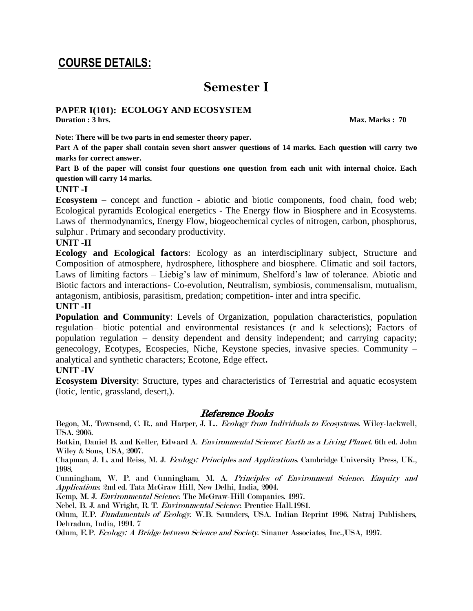# **COURSE DETAILS:**

# **Semester I**

## **PAPER I(101): ECOLOGY AND ECOSYSTEM**

**Duration : 3 hrs.** Max. Marks **: 70** 

**Note: There will be two parts in end semester theory paper.** 

**Part A of the paper shall contain seven short answer questions of 14 marks. Each question will carry two marks for correct answer.** 

**Part B of the paper will consist four questions one question from each unit with internal choice. Each question will carry 14 marks.** 

### **UNIT -I**

**Ecosystem** – concept and function - abiotic and biotic components, food chain, food web; Ecological pyramids Ecological energetics - The Energy flow in Biosphere and in Ecosystems. Laws of thermodynamics, Energy Flow, biogeochemical cycles of nitrogen, carbon, phosphorus, sulphur . Primary and secondary productivity.

### **UNIT -II**

**Ecology and Ecological factors**: Ecology as an interdisciplinary subject, Structure and Composition of atmosphere, hydrosphere, lithosphere and biosphere. Climatic and soil factors, Laws of limiting factors – Liebig"s law of minimum, Shelford"s law of tolerance. Abiotic and Biotic factors and interactions- Co-evolution, Neutralism, symbiosis, commensalism, mutualism, antagonism, antibiosis, parasitism, predation; competition- inter and intra specific.

### **UNIT -II**

**Population and Community**: Levels of Organization, population characteristics, population regulation– biotic potential and environmental resistances (r and k selections); Factors of population regulation – density dependent and density independent; and carrying capacity; genecology, Ecotypes, Ecospecies, Niche, Keystone species, invasive species. Community – analytical and synthetic characters; Ecotone, Edge effect**.** 

### **UNIT -IV**

**Ecosystem Diversity**: Structure, types and characteristics of Terrestrial and aquatic ecosystem (lotic, lentic, grassland, desert,).

## Reference Books

Begon, M., Townsend, C. R., and Harper, J. L.. Ecology from Individuals to Ecosystems. Wiley-lackwell, USA. 2005.

Botkin, Daniel B. and Keller, Edward A. Environmental Science: Earth as a Living Planet. 6th ed. John Wiley & Sons, USA, 2007.

Chapman, J. L. and Reiss, M. J. Ecology: Principles and Applications. Cambridge University Press, UK., 1998.

Cunningham, W. P. and Cunningham, M. A. Principles of Environment Science. Enquiry and Applications. 2nd ed. Tata McGraw Hill, New Delhi, India, 2004.

Kemp, M. J. Environmental Science. The McGraw-Hill Companies. 1997.

Nebel, B. J. and Wright, R. T. Environmental Science. Prentice Hall.1981.

Odum, E.P. Fundamentals of Ecology. W.B. Saunders, USA. Indian Reprint 1996, Natraj Publishers, Dehradun, India, 1991. 7

Odum, E.P. Ecology: A Bridge between Science and Society. Sinauer Associates, Inc.,USA, 1997.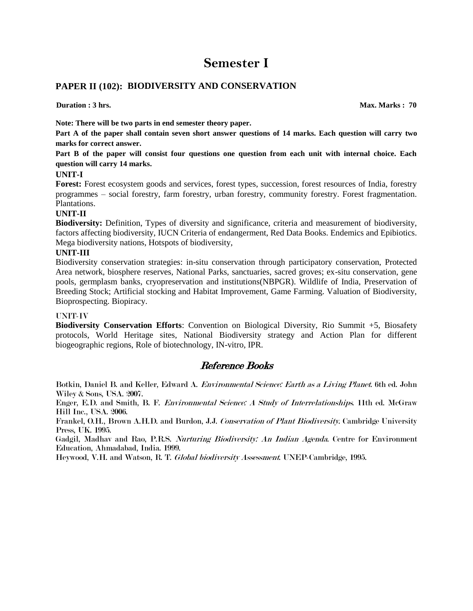## **PAPER II (102): BIODIVERSITY AND CONSERVATION**

**Duration : 3 hrs.** Max. Marks : 70

**Note: There will be two parts in end semester theory paper.** 

**Part A of the paper shall contain seven short answer questions of 14 marks. Each question will carry two marks for correct answer.** 

**Part B of the paper will consist four questions one question from each unit with internal choice. Each question will carry 14 marks.** 

#### **UNIT-I**

**Forest:** Forest ecosystem goods and services, forest types, succession, forest resources of India, forestry programmes – social forestry, farm forestry, urban forestry, community forestry. Forest fragmentation. Plantations.

#### **UNIT-II**

**Biodiversity:** Definition, Types of diversity and significance, criteria and measurement of biodiversity, factors affecting biodiversity, IUCN Criteria of endangerment, Red Data Books. Endemics and Epibiotics. Mega biodiversity nations, Hotspots of biodiversity,

#### **UNIT-III**

Biodiversity conservation strategies: in-situ conservation through participatory conservation, Protected Area network, biosphere reserves, National Parks, sanctuaries, sacred groves; ex-situ conservation, gene pools, germplasm banks, cryopreservation and institutions(NBPGR). Wildlife of India, Preservation of Breeding Stock; Artificial stocking and Habitat Improvement, Game Farming. Valuation of Biodiversity, Bioprospecting. Biopiracy.

#### UNIT-IV

**Biodiversity Conservation Efforts**: Convention on Biological Diversity, Rio Summit +5, Biosafety protocols, World Heritage sites, National Biodiversity strategy and Action Plan for different biogeographic regions, Role of biotechnology, IN-vitro, IPR.

## Reference Books

Botkin, Daniel B. and Keller, Edward A. Environmental Science: Earth as a Living Planet. 6th ed. John Wiley & Sons, USA. 2007.

Enger, E.D. and Smith, B. F. Environmental Science: A Study of Interrelationships. 11th ed. McGraw Hill Inc., USA. 2006.

Frankel, O.H., Brown A.H.D. and Burdon, J.J. Conservation of Plant Biodiversity. Cambridge University Press, UK. 1995.

Gadgil, Madhav and Rao, P.R.S. Nurturing Biodiversity: An Indian Agenda. Centre for Environment Education, Ahmadabad, India. 1999.

Heywood, V.H. and Watson, R. T. Global biodiversity Assessment. UNEP-Cambridge, 1995.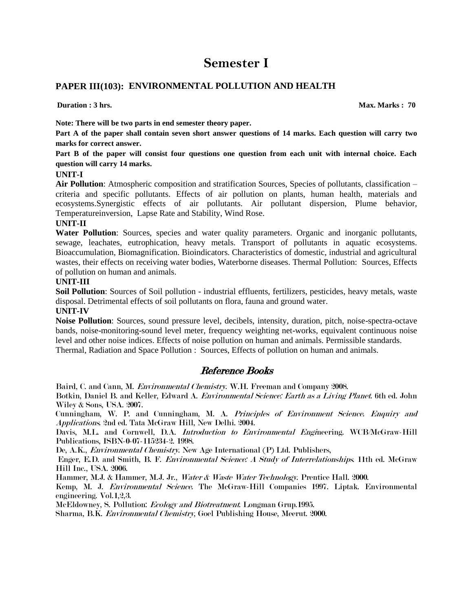## **PAPER III(103): ENVIRONMENTAL POLLUTION AND HEALTH**

**Duration : 3 hrs.** Max. Marks : 70

**Note: There will be two parts in end semester theory paper.** 

**Part A of the paper shall contain seven short answer questions of 14 marks. Each question will carry two marks for correct answer.** 

**Part B of the paper will consist four questions one question from each unit with internal choice. Each question will carry 14 marks.** 

### **UNIT-I**

**Air Pollution**: Atmospheric composition and stratification Sources, Species of pollutants, classification – criteria and specific pollutants. Effects of air pollution on plants, human health, materials and ecosystems.Synergistic effects of air pollutants. Air pollutant dispersion, Plume behavior, Temperatureinversion, Lapse Rate and Stability, Wind Rose.

#### **UNIT-II**

**Water Pollution**: Sources, species and water quality parameters. Organic and inorganic pollutants, sewage, leachates, eutrophication, heavy metals. Transport of pollutants in aquatic ecosystems. Bioaccumulation, Biomagnification. Bioindicators. Characteristics of domestic, industrial and agricultural wastes, their effects on receiving water bodies, Waterborne diseases. Thermal Pollution: Sources, Effects of pollution on human and animals.

#### **UNIT-III**

**Soil Pollution**: Sources of Soil pollution - industrial effluents, fertilizers, pesticides, heavy metals, waste disposal. Detrimental effects of soil pollutants on flora, fauna and ground water.

#### **UNIT-IV**

**Noise Pollution**: Sources, sound pressure level, decibels, intensity, duration, pitch, noise-spectra-octave bands, noise-monitoring-sound level meter, frequency weighting net-works, equivalent continuous noise level and other noise indices. Effects of noise pollution on human and animals. Permissible standards. Thermal, Radiation and Space Pollution : Sources, Effects of pollution on human and animals.

## Reference Books

Baird, C. and Cann, M. Environmental Chemistry. W.H. Freeman and Company 2008.

Botkin, Daniel B. and Keller, Edward A. *Environmental Science: Earth as a Living Planet*. 6th ed. John Wiley & Sons, USA. 2007.

Cunningham, W. P. and Cunningham, M. A. Principles of Environment Science. Enquiry and Applications. 2nd ed. Tata McGraw Hill, New Delhi. 2004.

Davis, M.L. and Cornwell, D.A. Introduction to Environmental Engineering. WCB/McGraw-Hill Publications, ISBN-0-07-115234-2. 1998.

De, A.K., Environmental Chemistry. New Age International (P) Ltd. Publishers,

Enger, E.D. and Smith, B. F. Environmental Science: A Study of Interrelationships. 11th ed. McGraw Hill Inc., USA. 2006.

Hammer, M.J. & Hammer, M.J. Jr., Water & Waste Water Technology. Prentice Hall. 2000.

Kemp, M. J. Environmental Science. The McGraw-Hill Companies 1997. Liptak. Environmental engineering. Vol.1,2,3.

McEldowney, S. Pollution: Ecology and Biotreatment. Longman Grup.1995.

Sharma, B.K. Environmental Chemistry, Goel Publishing House, Meerut. 2000.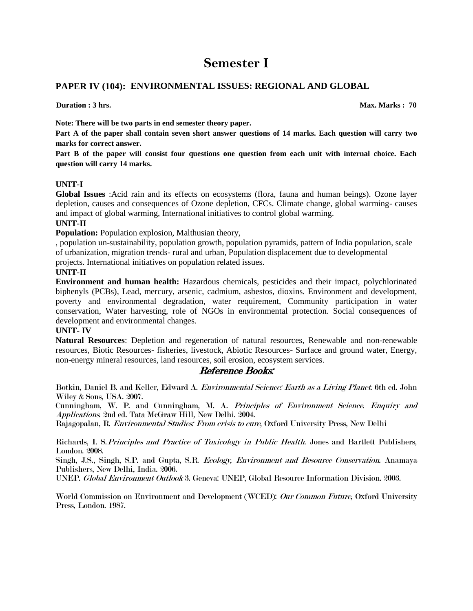## **PAPER IV (104): ENVIRONMENTAL ISSUES: REGIONAL AND GLOBAL**

**Duration : 3** hrs. Max. Marks : 70

**Note: There will be two parts in end semester theory paper.** 

**Part A of the paper shall contain seven short answer questions of 14 marks. Each question will carry two marks for correct answer.** 

**Part B of the paper will consist four questions one question from each unit with internal choice. Each question will carry 14 marks.** 

### **UNIT-I**

**Global Issues** :Acid rain and its effects on ecosystems (flora, fauna and human beings). Ozone layer depletion, causes and consequences of Ozone depletion, CFCs. Climate change, global warming- causes and impact of global warming, International initiatives to control global warming.

### **UNIT-II**

**Population:** Population explosion, Malthusian theory,

, population un-sustainability, population growth, population pyramids, pattern of India population, scale of urbanization, migration trends- rural and urban, Population displacement due to developmental projects. International initiatives on population related issues.

### **UNIT-II**

**Environment and human health:** Hazardous chemicals, pesticides and their impact, polychlorinated biphenyls (PCBs), Lead, mercury, arsenic, cadmium, asbestos, dioxins. Environment and development, poverty and environmental degradation, water requirement, Community participation in water conservation, Water harvesting, role of NGOs in environmental protection. Social consequences of development and environmental changes.

### **UNIT- IV**

**Natural Resources**: Depletion and regeneration of natural resources, Renewable and non-renewable resources, Biotic Resources- fisheries, livestock, Abiotic Resources- Surface and ground water, Energy, non-energy mineral resources, land resources, soil erosion, ecosystem services.

## Reference Books:

Botkin, Daniel B. and Keller, Edward A. *Environmental Science: Earth as a Living Planet*. 6th ed. John Wiley & Sons, USA. 2007.

Cunningham, W. P. and Cunningham, M. A. Principles of Environment Science. Enquiry and Applications. 2nd ed. Tata McGraw Hill, New Delhi. 2004.

Rajagopalan, R. Environmental Studies: From crisis to cure, Oxford University Press, New Delhi

Richards, I. S.Principles and Practice of Toxicology in Public Health. Jones and Bartlett Publishers, London. 2008.

Singh, J.S., Singh, S.P. and Gupta, S.R. Ecology, Environment and Resource Conservation. Anamaya Publishers, New Delhi, India. 2006.

UNEP. Global Environment Outlook 3. Geneva: UNEP, Global Resource Information Division. 2003.

World Commission on Environment and Development (WCED): Our Common Future, Oxford University Press, London. 1987.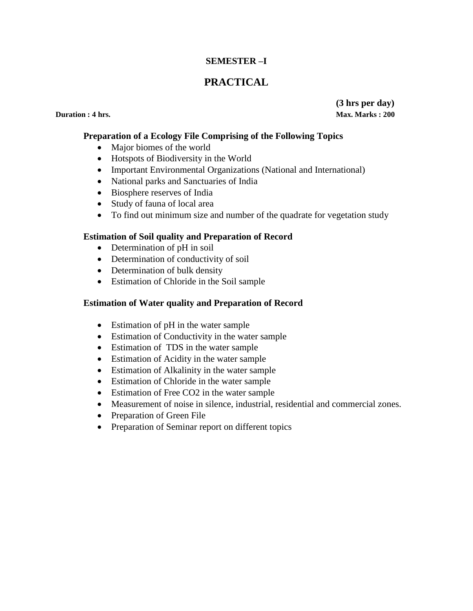## **SEMESTER –I**

## **PRACTICAL**

**(3 hrs per day) Duration : 4 hrs.** Max. Marks : 200

### **Preparation of a Ecology File Comprising of the Following Topics**

- Major biomes of the world
- Hotspots of Biodiversity in the World
- Important Environmental Organizations (National and International)
- National parks and Sanctuaries of India
- Biosphere reserves of India
- Study of fauna of local area
- To find out minimum size and number of the quadrate for vegetation study

### **Estimation of Soil quality and Preparation of Record**

- Determination of pH in soil
- Determination of conductivity of soil
- Determination of bulk density
- Estimation of Chloride in the Soil sample

### **Estimation of Water quality and Preparation of Record**

- Estimation of pH in the water sample
- Estimation of Conductivity in the water sample
- Estimation of TDS in the water sample
- Estimation of Acidity in the water sample
- Estimation of Alkalinity in the water sample
- Estimation of Chloride in the water sample
- Estimation of Free CO2 in the water sample
- Measurement of noise in silence, industrial, residential and commercial zones.
- Preparation of Green File
- Preparation of Seminar report on different topics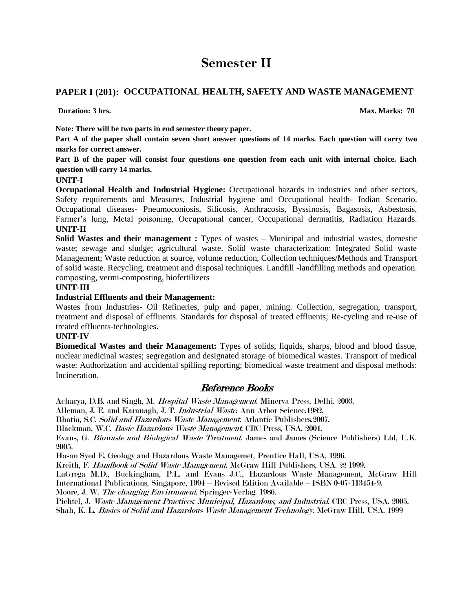## **PAPER I (201): OCCUPATIONAL HEALTH, SAFETY AND WASTE MANAGEMENT**

**Duration: 3** hrs. Max. Marks: 70

**Note: There will be two parts in end semester theory paper.** 

**Part A of the paper shall contain seven short answer questions of 14 marks. Each question will carry two marks for correct answer.** 

**Part B of the paper will consist four questions one question from each unit with internal choice. Each question will carry 14 marks.** 

### **UNIT-I**

**Occupational Health and Industrial Hygiene:** Occupational hazards in industries and other sectors, Safety requirements and Measures, Industrial hygiene and Occupational health- Indian Scenario. Occupational diseases- Pneumoconiosis, Silicosis, Anthracosis, Byssinosis, Bagasosis, Asbestosis, Farmer"s lung, Metal poisoning, Occupational cancer, Occupational dermatitis, Radiation Hazards. **UNIT-II** 

**Solid Wastes and their management :** Types of wastes – Municipal and industrial wastes, domestic waste; sewage and sludge; agricultural waste. Solid waste characterization: Integrated Solid waste Management; Waste reduction at source, volume reduction, Collection techniques/Methods and Transport of solid waste. Recycling, treatment and disposal techniques. Landfill -landfilling methods and operation. composting, vermi-composting, biofertilizers

### **UNIT-III**

### **Industrial Effluents and their Management:**

Wastes from Industries- Oil Refineries, pulp and paper, mining. Collection, segregation, transport, treatment and disposal of effluents. Standards for disposal of treated effluents; Re-cycling and re-use of treated effluents-technologies.

### **UNIT-IV**

**Biomedical Wastes and their Management:** Types of solids, liquids, sharps, blood and blood tissue, nuclear medicinal wastes; segregation and designated storage of biomedical wastes. Transport of medical waste: Authorization and accidental spilling reporting; biomedical waste treatment and disposal methods: **Incineration** 

## Reference Books

Acharya, D.B. and Singh, M. Hospital Waste Management. Minerva Press, Delhi. 2003.

Alleman, J. E. and Karanagh, J. T. Industrial Waste. Ann Arbor Science.1982.

Bhatia, S.C. Solid and Hazardous Waste Management. Atlantic Publishers.2007.

Blackman, W.C. Basic Hazardous Waste Management. CRC Press, USA. 2001.

Evans, G. Biowaste and Biological Waste Treatment. James and James (Science Publishers) Ltd, U.K. 2005.

Hasan Syed E. Geology and Hazardous Waste Managemet, Prentice Hall, USA, 1996.

Kreith, F. Handbook of Solid Waste Management. McGraw Hill Publishers, USA. 22 1999.

LaGrega M.D., Buckingham, P.L. and Evans J.C., Hazardous Waste Management, McGraw Hill International Publications, Singapore, 1994 – Revised Edition Available – ISBN 0-07-113454-9.

Moore, J. W. The changing Environment. Springer-Verlag. 1986.

Pichtel, J. Waste Management Practices: Municipal, Hazardous, and Industrial. CRC Press, USA. 2005. Shah, K. L. Basics of Solid and Hazardous Waste Management Technology. McGraw Hill, USA. 1999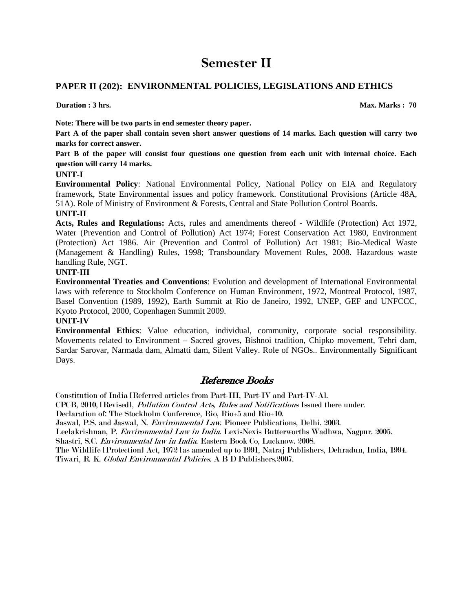## **PAPER II (202): ENVIRONMENTAL POLICIES, LEGISLATIONS AND ETHICS**

**Duration : 3 hrs.** Max. Marks : 70

**Note: There will be two parts in end semester theory paper.** 

**Part A of the paper shall contain seven short answer questions of 14 marks. Each question will carry two marks for correct answer.** 

**Part B of the paper will consist four questions one question from each unit with internal choice. Each question will carry 14 marks.** 

#### **UNIT-I**

**Environmental Policy**: National Environmental Policy, National Policy on EIA and Regulatory framework, State Environmental issues and policy framework. Constitutional Provisions (Article 48A, 51A). Role of Ministry of Environment & Forests, Central and State Pollution Control Boards.

#### **UNIT-II**

**Acts, Rules and Regulations:** Acts, rules and amendments thereof - Wildlife (Protection) Act 1972, Water (Prevention and Control of Pollution) Act 1974; Forest Conservation Act 1980, Environment (Protection) Act 1986. Air (Prevention and Control of Pollution) Act 1981; Bio-Medical Waste (Management & Handling) Rules, 1998; Transboundary Movement Rules, 2008. Hazardous waste handling Rule, NGT.

#### **UNIT-III**

**Environmental Treaties and Conventions**: Evolution and development of International Environmental laws with reference to Stockholm Conference on Human Environment, 1972, Montreal Protocol, 1987, Basel Convention (1989, 1992), Earth Summit at Rio de Janeiro, 1992, UNEP, GEF and UNFCCC, Kyoto Protocol, 2000, Copenhagen Summit 2009.

### **UNIT-IV**

**Environmental Ethics**: Value education, individual, community, corporate social responsibility. Movements related to Environment – Sacred groves, Bishnoi tradition, Chipko movement, Tehri dam, Sardar Sarovar, Narmada dam, Almatti dam, Silent Valley. Role of NGOs.. Environmentally Significant Days.

## Reference Books

Constitution of India [Referred articles from Part-III, Part-IV and Part-IV-A].

CPCB, 2010, [Revised], Pollution Control Acts, Rules and Notifications Issued there under.

Declaration of: The Stockholm Conference, Rio, Rio+5 and Rio+10.

Jaswal, P.S. and Jaswal, N. Environmental Law. Pioneer Publications, Delhi. 2003.

Leelakrishnan, P. Environmental Law in India. LexisNexis Butterworths Wadhwa, Nagpur. 2005.

Shastri, S.C. Environmental law in India. Eastern Book Co, Lucknow. 2008.

The Wildlife [Protection] Act, 1972 [as amended up to 1991, Natraj Publishers, Dehradun, India, 1994. Tiwari, R. K. Global Environmental Policies. A B D Publishers.2007.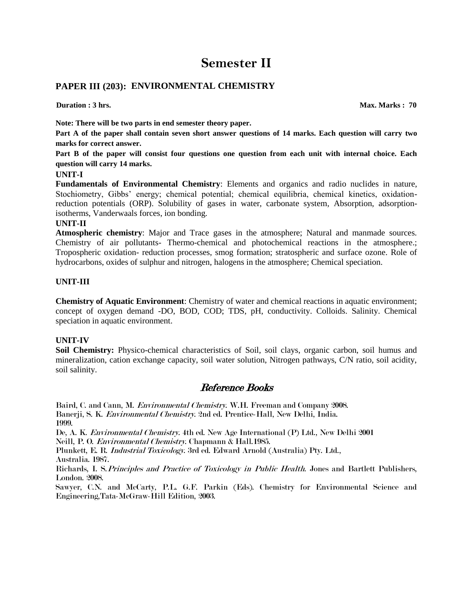## **PAPER III (203): ENVIRONMENTAL CHEMISTRY**

**Note: There will be two parts in end semester theory paper.** 

**Part A of the paper shall contain seven short answer questions of 14 marks. Each question will carry two marks for correct answer.** 

**Part B of the paper will consist four questions one question from each unit with internal choice. Each question will carry 14 marks.** 

#### **UNIT-I**

**Fundamentals of Environmental Chemistry**: Elements and organics and radio nuclides in nature, Stochiometry, Gibbs" energy; chemical potential; chemical equilibria, chemical kinetics, oxidationreduction potentials (ORP). Solubility of gases in water, carbonate system, Absorption, adsorptionisotherms, Vanderwaals forces, ion bonding.

#### **UNIT-II**

**Atmospheric chemistry**: Major and Trace gases in the atmosphere; Natural and manmade sources. Chemistry of air pollutants- Thermo-chemical and photochemical reactions in the atmosphere.; Tropospheric oxidation- reduction processes, smog formation; stratospheric and surface ozone. Role of hydrocarbons, oxides of sulphur and nitrogen, halogens in the atmosphere; Chemical speciation.

### **UNIT-III**

**Chemistry of Aquatic Environment**: Chemistry of water and chemical reactions in aquatic environment; concept of oxygen demand -DO, BOD, COD; TDS, pH, conductivity. Colloids. Salinity. Chemical speciation in aquatic environment.

### **UNIT-IV**

**Soil Chemistry:** Physico-chemical characteristics of Soil, soil clays, organic carbon, soil humus and mineralization, cation exchange capacity, soil water solution, Nitrogen pathways, C/N ratio, soil acidity, soil salinity.

## Reference Books

Baird, C. and Cann, M. Environmental Chemistry. W.H. Freeman and Company 2008. Banerji, S. K. Environmental Chemistry. 2nd ed. Prentice-Hall, New Delhi, India. 1999.

De, A. K. Environmental Chemistry. 4th ed. New Age International (P) Ltd., New Delhi 2001

Neill, P. O. Environmental Chemistry. Chapmann & Hall.1985.

Plunkett, E. R. Industrial Toxicology. 3rd ed. Edward Arnold (Australia) Pty. Ltd., Australia. 1987.

Richards, I. S. Principles and Practice of Toxicology in Public Health. Jones and Bartlett Publishers, London. 2008.

Sawyer, C.N. and McCarty, P.L. G.F. Parkin (Eds). Chemistry for Environmental Science and Engineering,Tata-McGraw-Hill Edition, 2003.

**Duration : 3 hrs.** Max. Marks : 70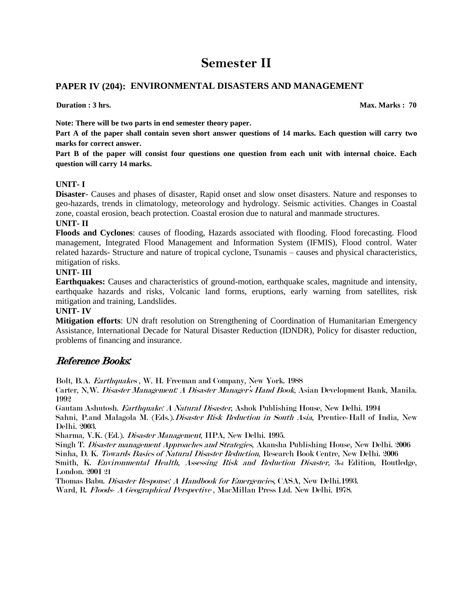## **PAPER IV (204): ENVIRONMENTAL DISASTERS AND MANAGEMENT**

**Duration : 3 hrs.** Max. Marks : 70

**Note: There will be two parts in end semester theory paper.** 

**Part A of the paper shall contain seven short answer questions of 14 marks. Each question will carry two marks for correct answer.** 

**Part B of the paper will consist four questions one question from each unit with internal choice. Each question will carry 14 marks.** 

### **UNIT- I**

**Disaster**- Causes and phases of disaster, Rapid onset and slow onset disasters. Nature and responses to geo-hazards, trends in climatology, meteorology and hydrology. Seismic activities. Changes in Coastal zone, coastal erosion, beach protection. Coastal erosion due to natural and manmade structures.

### **UNIT- II**

**Floods and Cyclones**: causes of flooding, Hazards associated with flooding. Flood forecasting. Flood management, Integrated Flood Management and Information System (IFMIS), Flood control. Water related hazards- Structure and nature of tropical cyclone, Tsunamis – causes and physical characteristics, mitigation of risks.

### **UNIT- III**

**Earthquakes:** Causes and characteristics of ground-motion, earthquake scales, magnitude and intensity, earthquake hazards and risks, Volcanic land forms, eruptions, early warning from satellites, risk mitigation and training, Landslides.

### **UNIT- IV**

**Mitigation efforts**: UN draft resolution on Strengthening of Coordination of Humanitarian Emergency Assistance, International Decade for Natural Disaster Reduction (IDNDR), Policy for disaster reduction, problems of financing and insurance.

## Reference Books:

Bolt, B.A. Earthquakes , W. H. Freeman and Company, New York. 1988

Carter, N,W. Disaster Management: A Disaster Manager's Hand Book, Asian Development Bank, Manila. 1992

Gautam Ashutosh. Earthquake: A Natural Disaster, Ashok Publishing House, New Delhi. 1994 Sahni, P.and Malagola M. (Eds.). *Disaster Risk Reduction in South Asia*, Prentice-Hall of India, New Delhi. 2003.

Sharma, V.K. (Ed.). Disaster Management, IIPA, New Delhi. 1995.

Singh T. Disaster management Approaches and Strategies, Akansha Publishing House, New Delhi. 2006 Sinha, D. K. Towards Basics of Natural Disaster Reduction, Research Book Centre, New Delhi. 2006 Smith, K. Environmental Health, Assessing Risk and Reduction Disaster, 3rd Edition, Routledge, London. 2001 21

Thomas Babu. Disaster Response: A Handbook for Emergencies, CASA, New Delhi.1993. Ward, R. Floods- A Geographical Perspective , MacMillan Press Ltd. New Delhi. 1978.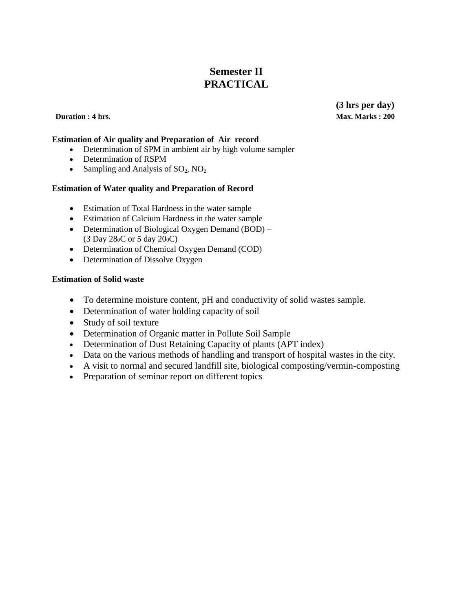## **Semester II PRACTICAL**

**Estimation of Air quality and Preparation of Air record**

- Determination of SPM in ambient air by high volume sampler
- Determination of RSPM
- Sampling and Analysis of  $SO_2$ ,  $NO_2$

### **Estimation of Water quality and Preparation of Record**

- Estimation of Total Hardness in the water sample
- Estimation of Calcium Hardness in the water sample
- Determination of Biological Oxygen Demand (BOD) (3 Day 280C or 5 day 200C)
- Determination of Chemical Oxygen Demand (COD)
- Determination of Dissolve Oxygen

### **Estimation of Solid waste**

- To determine moisture content, pH and conductivity of solid wastes sample.
- Determination of water holding capacity of soil
- Study of soil texture
- Determination of Organic matter in Pollute Soil Sample
- Determination of Dust Retaining Capacity of plants (APT index)
- Data on the various methods of handling and transport of hospital wastes in the city.
- A visit to normal and secured landfill site, biological composting/vermin-composting
- Preparation of seminar report on different topics

**(3 hrs per day) Duration : 4 hrs. Max. Marks : 200**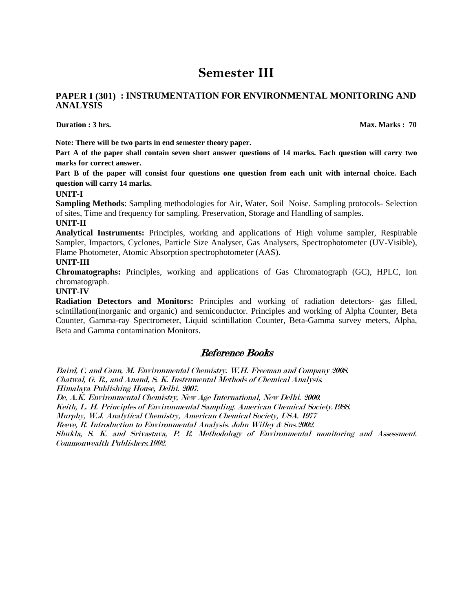### **PAPER I (301) : INSTRUMENTATION FOR ENVIRONMENTAL MONITORING AND ANALYSIS**

**Duration : 3 hrs.** Max. Marks : 70

**Note: There will be two parts in end semester theory paper.** 

**Part A of the paper shall contain seven short answer questions of 14 marks. Each question will carry two marks for correct answer.** 

**Part B of the paper will consist four questions one question from each unit with internal choice. Each question will carry 14 marks.**

#### **UNIT-I**

**Sampling Methods**: Sampling methodologies for Air, Water, Soil Noise. Sampling protocols- Selection of sites, Time and frequency for sampling. Preservation, Storage and Handling of samples.

#### **UNIT-II**

**Analytical Instruments:** Principles, working and applications of High volume sampler, Respirable Sampler, Impactors, Cyclones, Particle Size Analyser, Gas Analysers, Spectrophotometer (UV-Visible), Flame Photometer, Atomic Absorption spectrophotometer (AAS).

#### **UNIT-III**

**Chromatographs:** Principles, working and applications of Gas Chromatograph (GC), HPLC, Ion chromatograph.

#### **UNIT-IV**

**Radiation Detectors and Monitors:** Principles and working of radiation detectors- gas filled, scintillation(inorganic and organic) and semiconductor. Principles and working of Alpha Counter, Beta Counter, Gamma-ray Spectrometer, Liquid scintillation Counter, Beta-Gamma survey meters, Alpha, Beta and Gamma contamination Monitors.

## Reference Books

Baird, C. and Cann, M. Environmental Chemistry. W.H. Freeman and Company 2008. Chatwal, G. R., and Anand, S. K. Instrumental Methods of Chemical Analysis. Himalaya Publishing House, Delhi. 2007.

De, A.K. Environmental Chemistry, New Age International, New Delhi. 2000.

Keith, L. H. Principles of Environmental Sampling. American Chemical Society.1988.

Murphy, W.J. Analytical Chemistry, American Chemical Society, USA. 1977

Reeve, R. Introduction to Environmental Analysis. John Willey & Sns.2002.

Shukla, S. K. and Srivastava, P. R. Methodology of Environmental monitoring and Assessment. Commonwealth Publishers.1992.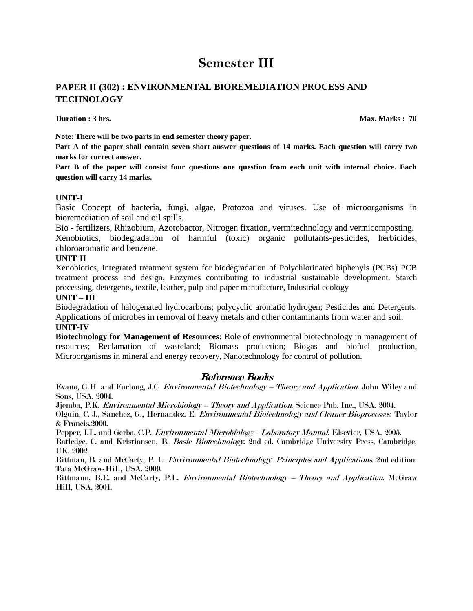## **PAPER II (302) : ENVIRONMENTAL BIOREMEDIATION PROCESS AND TECHNOLOGY**

**Duration : 3 hrs.** Max. Marks : 70

**Note: There will be two parts in end semester theory paper.** 

**Part A of the paper shall contain seven short answer questions of 14 marks. Each question will carry two marks for correct answer.** 

**Part B of the paper will consist four questions one question from each unit with internal choice. Each question will carry 14 marks.** 

#### **UNIT-I**

Basic Concept of bacteria, fungi, algae, Protozoa and viruses. Use of microorganisms in bioremediation of soil and oil spills.

Bio - fertilizers, Rhizobium, Azotobactor, Nitrogen fixation, vermitechnology and vermicomposting.

Xenobiotics, biodegradation of harmful (toxic) organic pollutants-pesticides, herbicides, chloroaromatic and benzene.

#### **UNIT-II**

Xenobiotics, Integrated treatment system for biodegradation of Polychlorinated biphenyls (PCBs) PCB treatment process and design, Enzymes contributing to industrial sustainable development. Starch processing, detergents, textile, leather, pulp and paper manufacture, Industrial ecology

#### **UNIT – III**

Biodegradation of halogenated hydrocarbons; polycyclic aromatic hydrogen; Pesticides and Detergents. Applications of microbes in removal of heavy metals and other contaminants from water and soil. **UNIT-IV** 

**Biotechnology for Management of Resources:** Role of environmental biotechnology in management of resources; Reclamation of wasteland; Biomass production; Biogas and biofuel production, Microorganisms in mineral and energy recovery, Nanotechnology for control of pollution.

## Reference Books

Evano, G.H. and Furlong, J.C. Environmental Biotechnology – Theory and Application. John Wiley and Sons, USA. 2004.

Jjemba, P.K. Environmental Microbiology – Theory and Application. Science Pub. Inc., USA. 2004.

Olguin, C. J., Sanchez, G., Hernandez. E. Environmental Biotechnology and Cleaner Bioprocesses. Taylor & Francis.2000.

Pepper, I.L. and Gerba, C.P. Environmental Microbiology - Laboratory Manual. Elsevier, USA. 2005.

Ratledge, C. and Kristiansen, B. Basic Biotechnology. 2nd ed. Cambridge University Press, Cambridge, UK. 2002.

Rittman, B. and McCarty, P. L. Environmental Biotechnology: Principles and Applications. 2nd edition. Tata McGraw-Hill, USA. 2000.

Rittmann, B.E. and McCarty, P.L. *Environmental Biotechnology – Theory and Application*. McGraw Hill, USA. 2001.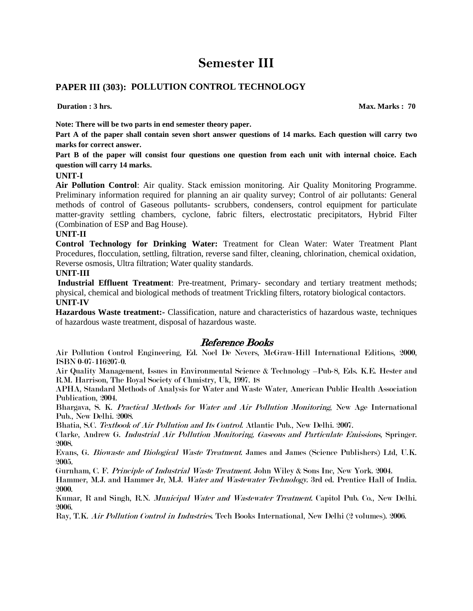## **PAPER III (303): POLLUTION CONTROL TECHNOLOGY**

**Duration : 3 hrs.** Max. Marks : 70

**Note: There will be two parts in end semester theory paper.** 

**Part A of the paper shall contain seven short answer questions of 14 marks. Each question will carry two marks for correct answer.** 

**Part B of the paper will consist four questions one question from each unit with internal choice. Each question will carry 14 marks.** 

#### **UNIT-I**

**Air Pollution Control**: Air quality. Stack emission monitoring. Air Quality Monitoring Programme. Preliminary information required for planning an air quality survey; Control of air pollutants: General methods of control of Gaseous pollutants- scrubbers, condensers, control equipment for particulate matter-gravity settling chambers, cyclone, fabric filters, electrostatic precipitators, Hybrid Filter (Combination of ESP and Bag House).

#### **UNIT-II**

**Control Technology for Drinking Water:** Treatment for Clean Water: Water Treatment Plant Procedures, flocculation, settling, filtration, reverse sand filter, cleaning, chlorination, chemical oxidation, Reverse osmosis, Ultra filtration; Water quality standards.

#### **UNIT-III**

**Industrial Effluent Treatment**: Pre-treatment, Primary- secondary and tertiary treatment methods; physical, chemical and biological methods of treatment Trickling filters, rotatory biological contactors. **UNIT-IV** 

**Hazardous Waste treatment:-** Classification, nature and characteristics of hazardous waste, techniques of hazardous waste treatment, disposal of hazardous waste.

## Reference Books

Air Pollution Control Engineering, Ed. Noel De Nevers, McGraw-Hill International Editions, 2000, ISBN 0-07-116207-0.

Air Quality Management, Issues in Environmental Science & Technology –Pub-8, Eds. K.E. Hester and R.M. Harrison, The Royal Society of Chmistry, Uk, 1997. 18

APHA, Standard Methods of Analysis for Water and Waste Water, American Public Health Association Publication, 2004.

Bhargava, S. K. Practical Methods for Water and Air Pollution Monitoring, New Age International Pub., New Delhi. 2008.

Bhatia, S.C. Textbook of Air Pollution and Its Control. Atlantic Pub., New Delhi. 2007.

Clarke, Andrew G. Industrial Air Pollution Monitoring, Gaseous and Particulate Emissions, Springer. 2008.

Evans, G. Biowaste and Biological Waste Treatment. James and James (Science Publishers) Ltd, U.K. 2005.

Gurnham, C. F. Principle of Industrial Waste Treatment. John Wiley & Sons Inc, New York. 2004.

Hammer, M.J. and Hammer Jr, M.J. Water and Wastewater Technology. 3rd ed. Prentice Hall of India. 2000.

Kumar, R and Singh, R.N. Municipal Water and Wastewater Treatment. Capitol Pub. Co., New Delhi. 2006.

Ray, T.K. Air Pollution Control in Industries. Tech Books International, New Delhi (2 volumes). 2006.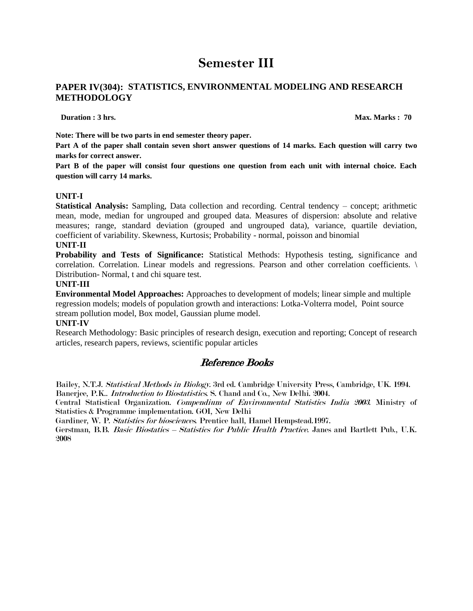## **PAPER IV(304): STATISTICS, ENVIRONMENTAL MODELING AND RESEARCH METHODOLOGY**

**Duration : 3 hrs.** Max. Marks : 70

**Note: There will be two parts in end semester theory paper.** 

**Part A of the paper shall contain seven short answer questions of 14 marks. Each question will carry two marks for correct answer.** 

**Part B of the paper will consist four questions one question from each unit with internal choice. Each question will carry 14 marks.** 

#### **UNIT-I**

**Statistical Analysis:** Sampling, Data collection and recording. Central tendency – concept; arithmetic mean, mode, median for ungrouped and grouped data. Measures of dispersion: absolute and relative measures; range, standard deviation (grouped and ungrouped data), variance, quartile deviation, coefficient of variability. Skewness, Kurtosis; Probability - normal, poisson and binomial

#### **UNIT-II**

**Probability and Tests of Significance:** Statistical Methods: Hypothesis testing, significance and correlation. Correlation. Linear models and regressions. Pearson and other correlation coefficients. \ Distribution- Normal, t and chi square test.

#### **UNIT-III**

**Environmental Model Approaches:** Approaches to development of models; linear simple and multiple regression models; models of population growth and interactions: Lotka-Volterra model, Point source stream pollution model, Box model, Gaussian plume model.

#### **UNIT-IV**

Research Methodology: Basic principles of research design, execution and reporting; Concept of research articles, research papers, reviews, scientific popular articles

## Reference Books

Bailey, N.T.J. Statistical Methods in Biology. 3rd ed. Cambridge University Press, Cambridge, UK. 1994. Banerjee, P.K.. Introduction to Biostatistics. S. Chand and Co., New Delhi. 2004.

Central Statistical Organization. Compendium of Environmental Statistics India 2003. Ministry of Statistics & Programme implementation. GOI, New Delhi

Gardiner, W. P. Statistics for biosciences. Prentice hall, Hamel Hempstead.1997.

Gerstman, B.B. Basic Biostatics – Statistics for Public Health Practice. Janes and Bartlett Pub., U.K. 2008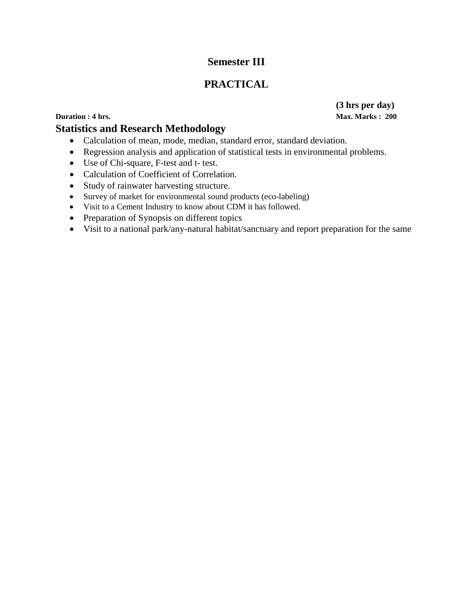## **PRACTICAL**

## **Duration : 4 hrs.** Max. Marks : 200

## **Statistics and Research Methodology**

- Calculation of mean, mode, median, standard error, standard deviation.
- Regression analysis and application of statistical tests in environmental problems.
- Use of Chi-square, F-test and t- test.
- Calculation of Coefficient of Correlation.
- Study of rainwater harvesting structure.
- Survey of market for environmental sound products (eco-labeling)
- Visit to a Cement Industry to know about CDM it has followed.
- Preparation of Synopsis on different topics
- Visit to a national park/any-natural habitat/sanctuary and report preparation for the same

**(3 hrs per day)**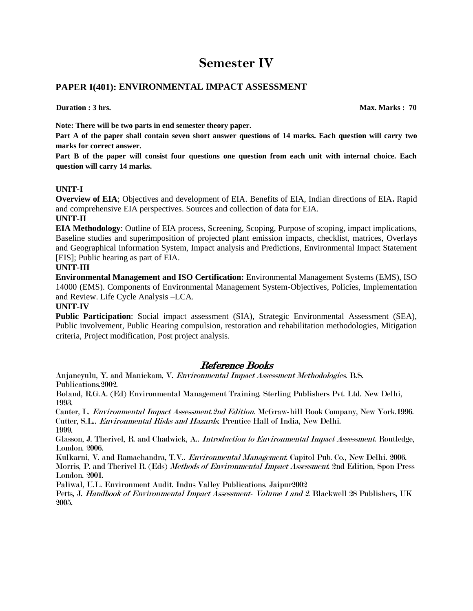## **PAPER I(401): ENVIRONMENTAL IMPACT ASSESSMENT**

**Duration : 3 hrs.** Max. Marks : 70

**Note: There will be two parts in end semester theory paper.** 

**Part A of the paper shall contain seven short answer questions of 14 marks. Each question will carry two marks for correct answer.** 

**Part B of the paper will consist four questions one question from each unit with internal choice. Each question will carry 14 marks.** 

### **UNIT-I**

**Overview of EIA**; Objectives and development of EIA. Benefits of EIA, Indian directions of EIA**.** Rapid and comprehensive EIA perspectives. Sources and collection of data for EIA.

#### **UNIT-II**

**EIA Methodology**: Outline of EIA process, Screening, Scoping, Purpose of scoping, impact implications, Baseline studies and superimposition of projected plant emission impacts, checklist, matrices, Overlays and Geographical Information System, Impact analysis and Predictions, Environmental Impact Statement [EIS]; Public hearing as part of EIA.

### **UNIT-III**

**Environmental Management and ISO Certification:** Environmental Management Systems (EMS), ISO 14000 (EMS). Components of Environmental Management System-Objectives, Policies, Implementation and Review. Life Cycle Analysis –LCA.

#### **UNIT-IV**

**Public Participation**: Social impact assessment (SIA), Strategic Environmental Assessment (SEA), Public involvement, Public Hearing compulsion, restoration and rehabilitation methodologies, Mitigation criteria, Project modification, Post project analysis.

## Reference Books

Anjaneyulu, Y. and Manickam, V. Environmental Impact Assessment Methodologies. B.S. Publications.2002.

Boland, R.G.A. (Ed) Environmental Management Training. Sterling Publishers Pvt. Ltd. New Delhi, 1993.

Canter, L. Environmental Impact Assessment.2nd Edition. McGraw-hill Book Company, New York.1996. Cutter, S.L.. Environmental Risks and Hazards. Prentice Hall of India, New Delhi. 1999.

Glasson, J. Therivel, R. and Chadwick, A.. Introduction to Environmental Impact Assessment. Routledge, London. 2006.

Kulkarni, V. and Ramachandra, T.V.. Environmental Management. Capitol Pub. Co., New Delhi. 2006. Morris, P. and Therivel R. (Eds) Methods of Environmental Impact Assessment. 2nd Edition, Spon Press London. 2001.

Paliwal, U.L. Environment Audit. Indus Valley Publications. Jaipur2002

Petts, J. Handbook of Environmental Impact Assessment- Volume 1 and 2. Blackwell 28 Publishers, UK 2005.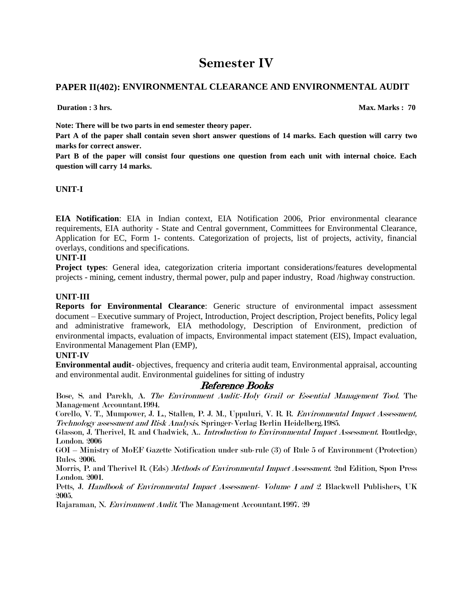## **PAPER II(402): ENVIRONMENTAL CLEARANCE AND ENVIRONMENTAL AUDIT**

**Duration : 3 hrs.** Max. Marks : 70

**Note: There will be two parts in end semester theory paper.** 

**Part A of the paper shall contain seven short answer questions of 14 marks. Each question will carry two marks for correct answer.** 

**Part B of the paper will consist four questions one question from each unit with internal choice. Each question will carry 14 marks.** 

### **UNIT-I**

**EIA Notification**: EIA in Indian context, EIA Notification 2006, Prior environmental clearance requirements, EIA authority - State and Central government, Committees for Environmental Clearance, Application for EC, Form 1- contents. Categorization of projects, list of projects, activity, financial overlays, conditions and specifications.

## **UNIT-II**

**Project types**: General idea, categorization criteria important considerations/features developmental projects - mining, cement industry, thermal power, pulp and paper industry, Road /highway construction.

### **UNIT-III**

**Reports for Environmental Clearance**: Generic structure of environmental impact assessment document – Executive summary of Project, Introduction, Project description, Project benefits, Policy legal and administrative framework, EIA methodology, Description of Environment, prediction of environmental impacts, evaluation of impacts, Environmental impact statement (EIS), Impact evaluation, Environmental Management Plan (EMP),

### **UNIT-IV**

**Environmental audit**- objectives, frequency and criteria audit team, Environmental appraisal, accounting and environmental audit. Environmental guidelines for sitting of industry

## Reference Books

Bose, S. and Parekh, A. The Environment Audit:-Holy Grail or Essential Management Tool. The Management Accountant.1994.

Corello, V. T., Mumpower, J. L., Stallen, P. J. M., Uppuluri, V. R. R. Environmental Impact Assessment, Technology assessment and Risk Analysis. Springer-Verlag Berlin Heidelberg.1985.

Glasson, J. Therivel, R. and Chadwick, A.. *Introduction to Environmental Impact Assessment.* Routledge, London. 2006

GOI – Ministry of MoEF Gazette Notification under sub-rule (3) of Rule 5 of Environment (Protection) Rules. 2006.

Morris, P. and Therivel R. (Eds) *Methods of Environmental Impact Assessment*. 2nd Edition, Spon Press London. 2001.

Petts, J. Handbook of Environmental Impact Assessment- Volume 1 and 2. Blackwell Publishers, UK 2005.

Rajaraman, N. Environment Audit. The Management Accountant.1997. 29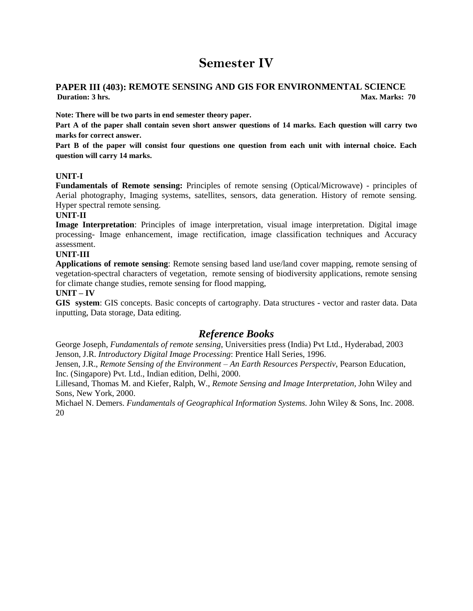## **PAPER III (403): REMOTE SENSING AND GIS FOR ENVIRONMENTAL SCIENCE Duration: 3** hrs. Max. Marks: 70

**Note: There will be two parts in end semester theory paper.** 

**Part A of the paper shall contain seven short answer questions of 14 marks. Each question will carry two marks for correct answer.** 

**Part B of the paper will consist four questions one question from each unit with internal choice. Each question will carry 14 marks.** 

### **UNIT-I**

**Fundamentals of Remote sensing:** Principles of remote sensing (Optical/Microwave) - principles of Aerial photography, Imaging systems, satellites, sensors, data generation. History of remote sensing. Hyper spectral remote sensing.

#### **UNIT-II**

**Image Interpretation**: Principles of image interpretation, visual image interpretation. Digital image processing- Image enhancement, image rectification, image classification techniques and Accuracy assessment.

### **UNIT-III**

**Applications of remote sensing**: Remote sensing based land use/land cover mapping, remote sensing of vegetation-spectral characters of vegetation, remote sensing of biodiversity applications, remote sensing for climate change studies, remote sensing for flood mapping,

#### **UNIT – IV**

**GIS system**: GIS concepts. Basic concepts of cartography. Data structures - vector and raster data. Data inputting, Data storage, Data editing.

## *Reference Books*

George Joseph, *Fundamentals of remote sensing*, Universities press (India) Pvt Ltd., Hyderabad, 2003 Jenson, J.R. *Introductory Digital Image Processing*: Prentice Hall Series, 1996.

Jensen, J.R., *Remote Sensing of the Environment – An Earth Resources Perspectiv*, Pearson Education, Inc. (Singapore) Pvt. Ltd., Indian edition, Delhi, 2000.

Lillesand, Thomas M. and Kiefer, Ralph, W., *Remote Sensing and Image Interpretation,* John Wiley and Sons, New York, 2000.

Michael N. Demers. *Fundamentals of Geographical Information Systems.* John Wiley & Sons, Inc. 2008. 20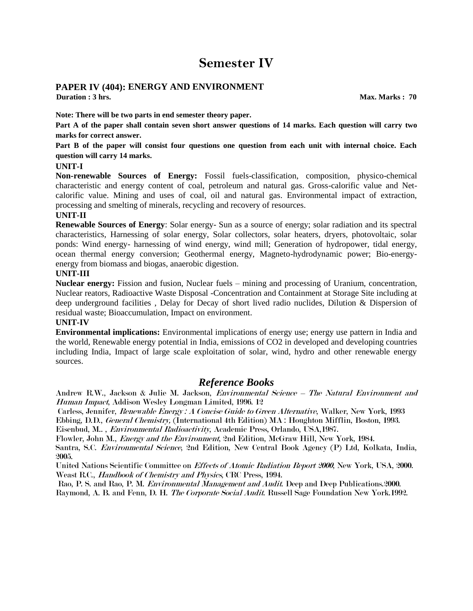## **PAPER IV (404): ENERGY AND ENVIRONMENT**

**Duration : 3 hrs.** Max. Marks : 70

**Note: There will be two parts in end semester theory paper.** 

**Part A of the paper shall contain seven short answer questions of 14 marks. Each question will carry two marks for correct answer.**

**Part B of the paper will consist four questions one question from each unit with internal choice. Each question will carry 14 marks.** 

#### **UNIT-I**

**Non-renewable Sources of Energy:** Fossil fuels-classification, composition, physico-chemical characteristic and energy content of coal, petroleum and natural gas. Gross-calorific value and Netcalorific value. Mining and uses of coal, oil and natural gas. Environmental impact of extraction, processing and smelting of minerals, recycling and recovery of resources.

#### **UNIT-II**

**Renewable Sources of Energy**: Solar energy- Sun as a source of energy; solar radiation and its spectral characteristics, Harnessing of solar energy, Solar collectors, solar heaters, dryers, photovoltaic, solar ponds: Wind energy- harnessing of wind energy, wind mill; Generation of hydropower, tidal energy, ocean thermal energy conversion; Geothermal energy, Magneto-hydrodynamic power; Bio-energyenergy from biomass and biogas, anaerobic digestion.

#### **UNIT-III**

**Nuclear energy:** Fission and fusion, Nuclear fuels – mining and processing of Uranium, concentration, Nuclear reators, Radioactive Waste Disposal -Concentration and Containment at Storage Site including at deep underground facilities , Delay for Decay of short lived radio nuclides, Dilution & Dispersion of residual waste; Bioaccumulation, Impact on environment.

### **UNIT-IV**

**Environmental implications:** Environmental implications of energy use; energy use pattern in India and the world, Renewable energy potential in India, emissions of CO2 in developed and developing countries including India, Impact of large scale exploitation of solar, wind, hydro and other renewable energy sources.

### *Reference Books*

Andrew R.W., Jackson & Julie M. Jackson, Environmental Science – The Natural Environment and Human Impact, Addison Wesley Longman Limited, 1996. 12

Carless, Jennifer, Renewable Energy : A Concise Guide to Green Alternative, Walker, New York, 1993 Ebbing, D.D., General Chemistry, (International 4th Edition) MA : Houghton Mifflin, Boston, 1993. Eisenbud, M.. , Environmental Radioactivity, Academic Press, Orlando, USA,1987.

Flowler, John M., Energy and the Environment, 2nd Edition, McGraw Hill, New York, 1984.

Santra, S.C. Environmental Science, 2nd Edition, New Central Book Agency (P) Ltd, Kolkata, India, 2005.

United Nations Scientific Committee on Effects of Atomic Radiation Report 2000, New York, USA, 2000. Weast R.C., Handbook of Chemistry and Physics, CRC Press, 1994.

Rao, P. S. and Rao, P. M. *Environmental Management and Audit*. Deep and Deep Publications. 2000. Raymond, A. B. and Fenn, D. H. The Corporate Social Audit. Russell Sage Foundation New York.1992.